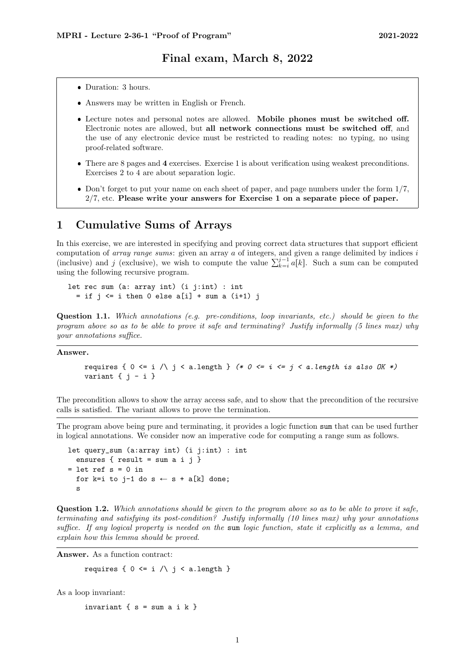#### Final exam, March 8, 2022

- Duration: 3 hours.
- Answers may be written in English or French.
- Lecture notes and personal notes are allowed. Mobile phones must be switched off. Electronic notes are allowed, but all network connections must be switched off, and the use of any electronic device must be restricted to reading notes: no typing, no using proof-related software.
- There are [8](#page-7-0) pages and 4 exercises. Exercise 1 is about verification using weakest preconditions. Exercises 2 to 4 are about separation logic.
- Don't forget to put your name on each sheet of paper, and page numbers under the form  $1/7$ ,  $2/7$ , etc. Please write your answers for Exercise 1 on a separate piece of paper.

## 1 Cumulative Sums of Arrays

In this exercise, we are interested in specifying and proving correct data structures that support efficient computation of *array range sums*: given an array  $a$  of integers, and given a range delimited by indices  $i$ computation of *array range sums*: given an array *a* of integers, and given a range delimited by indices *i* (inclusive) and *j* (exclusive), we wish to compute the value  $\sum_{k=i}^{j-1} a[k]$ . Such a sum can be computed using the following recursive program.

let rec sum (a: array int) (i j:int) : int  $=$  if  $j \le i$  then 0 else a[i] + sum a (i+1) j

Question 1.1. Which annotations (e.g. pre-conditions, loop invariants, etc.) should be given to the program above so as to be able to prove it safe and terminating? Justify informally (5 lines max) why your annotations suffice.

#### Answer.

```
requires { 0 \le i / i \le a. length } (* 0 \le i \le j \le a. length is also OK *)
variant \{ j - i \}
```
The precondition allows to show the array access safe, and to show that the precondition of the recursive calls is satisfied. The variant allows to prove the termination.

The program above being pure and terminating, it provides a logic function sum that can be used further in logical annotations. We consider now an imperative code for computing a range sum as follows.

```
let query_sum (a:array int) (i j:int) : int
  ensures { result = sum a i j }
= let ref s = 0 in
  for k=i to j-1 do s \leftarrow s + a[k] done;
  s
```
Question 1.2. Which annotations should be given to the program above so as to be able to prove it safe, terminating and satisfying its post-condition? Justify informally (10 lines max) why your annotations suffice. If any logical property is needed on the sum logic function, state it explicitly as a lemma, and explain how this lemma should be proved.

Answer. As a function contract:

requires {  $0 \leq i \wedge j \leq a.length$  }

As a loop invariant:

invariant  $\{ s = sum a i k \}$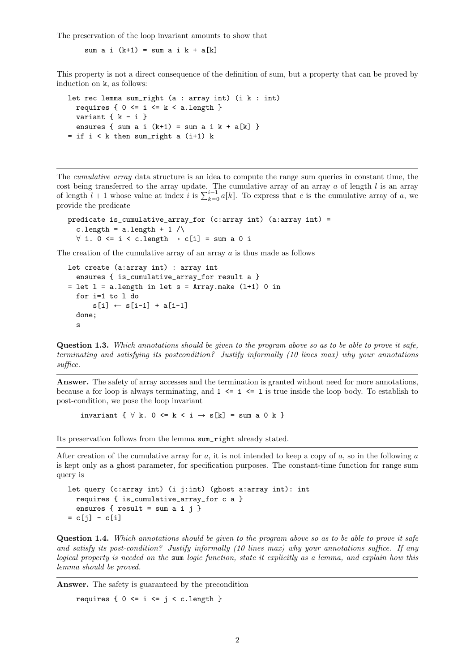The preservation of the loop invariant amounts to show that

sum a i  $(k+1)$  = sum a i  $k + a[k]$ 

This property is not a direct consequence of the definition of sum, but a property that can be proved by induction on k, as follows:

```
let rec lemma sum_right (a : array int) (i k : int)
 requires { 0 \le i \le k \le a.length }
 variant {k - i}
 ensures { sum a i (k+1) = sum a i k + a[k] }
= if i \le k then sum_right a (i+1) k
```
The cumulative array data structure is an idea to compute the range sum queries in constant time, the cost being transferred to the array update. The cumulative array of an array  $\alpha$  of length  $l$  is an array cost being transferred to the array update. The cumulative array of an array a of length  $l$  is an array of length  $l + 1$  whose value at index i is  $\sum_{k=0}^{i-1} a[k]$ . To express that c is the cumulative array of a, we provide the predicate

```
predicate is_cumulative_array_for (c:array int) (a:array int) =
  c.length = a.length + 1 \land\forall i. 0 <= i < c.length \rightarrow c[i] = sum a 0 i
```
The creation of the cumulative array of an array  $\alpha$  is thus made as follows

```
let create (a:array int) : array int
  ensures { is_cumulative_array_for result a }
= let l = a.length in let s = Array.make (l+1) 0 in
  for i=1 to l do
      s[i] \leftarrow s[i-1] + a[i-1]done;
  s
```
Question 1.3. Which annotations should be given to the program above so as to be able to prove it safe, terminating and satisfying its postcondition? Justify informally (10 lines max) why your annotations suffice.

Answer. The safety of array accesses and the termination is granted without need for more annotations, because a for loop is always terminating, and  $1 \le i \le 1$  is true inside the loop body. To establish to post-condition, we pose the loop invariant

invariant  $\{ \forall k. 0 \le k \le i \rightarrow s[k] = \text{sum a 0 k } \}$ 

Its preservation follows from the lemma sum\_right already stated.

After creation of the cumulative array for  $a$ , it is not intended to keep a copy of  $a$ , so in the following  $a$ is kept only as a ghost parameter, for specification purposes. The constant-time function for range sum query is

```
let query (c:array int) (i j:int) (ghost a:array int): int
  requires { is_cumulative_array_for c a }
  ensures { result = sum a i j }
= c[j] - c[i]
```
Question 1.4. Which annotations should be given to the program above so as to be able to prove it safe and satisfy its post-condition? Justify informally (10 lines max) why your annotations suffice. If any logical property is needed on the sum logic function, state it explicitly as a lemma, and explain how this lemma should be proved.

Answer. The safety is guaranteed by the precondition

requires {  $0 \le i \le j \le c.length$  }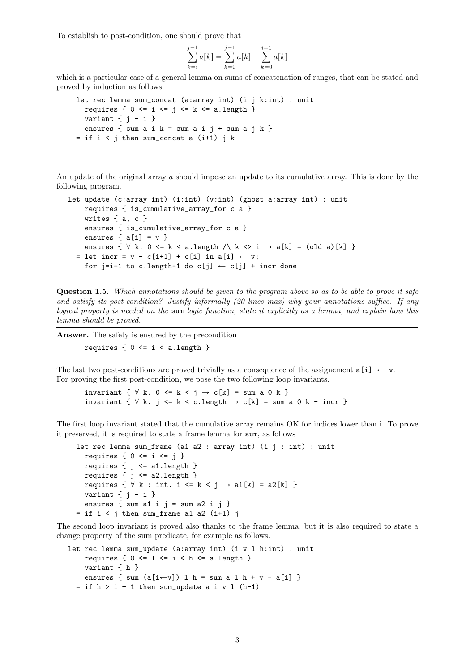To establish to post-condition, one should prove that

$$
\sum_{k=i}^{j-1} a[k] = \sum_{k=0}^{j-1} a[k] - \sum_{k=0}^{i-1} a[k]
$$

which is a particular case of a general lemma on sums of concatenation of ranges, that can be stated and proved by induction as follows:

```
let rec lemma sum_concat (a:array int) (i j k:int) : unit
 requires { 0 \le i \le j \le k \le a.length }
 variant \{ i - i \}ensures \{ sum a i k = sum a i j + sum a j k \}= if i < j then sum_concat a (i+1) j k
```
An update of the original array  $\alpha$  should impose an update to its cumulative array. This is done by the following program.

```
let update (c:array int) (i:int) (v:int) (ghost a:array int) : unit
    requires { is_cumulative_array_for c a }
    writes { a, c }
    ensures { is_cumulative_array_for c a }
    ensures \{ a[i] = v \}ensures { \forall k. 0 <= k < a.length \land k <> i \rightarrow a[k] = (old a)[k] }
  = let incr = v - c[i+1] + c[i] in a[i] \leftarrow v;
    for j=i+1 to c.length-1 do c[j] \leftarrow c[j] + incr done
```
Question 1.5. Which annotations should be given to the program above so as to be able to prove it safe and satisfy its post-condition? Justify informally (20 lines max) why your annotations suffice. If any logical property is needed on the sum logic function, state it explicitly as a lemma, and explain how this lemma should be proved.

Answer. The safety is ensured by the precondition

requires  $\{ 0 \le i \le a.\$ 

The last two post-conditions are proved trivially as a consequence of the assignement  $a[i] \leftarrow v$ . For proving the first post-condition, we pose the two following loop invariants.

invariant {  $\forall$  k. 0 <= k < j  $\rightarrow$  c[k] = sum a 0 k } invariant  $\{ \forall k. j \le k < c.length \rightarrow c[k] = sum a 0 k - incr \}$ 

The first loop invariant stated that the cumulative array remains OK for indices lower than i. To prove it preserved, it is required to state a frame lemma for sum, as follows

```
let rec lemma sum_frame (a1 a2 : array int) (i j : int) : unit
  requires { 0 \le i \le j }
  requires { j <= a1.length }
  requires { j \le a2.length }
  requires \{ \forall k : int. i \le k \le j \rightarrow a1[k] = a2[k] \}variant \{ j - i \}ensures { sum a1 i j = sum a2 i j }
= if i \le j then sum_frame a1 a2 (i+1) j
```
The second loop invariant is proved also thanks to the frame lemma, but it is also required to state a change property of the sum predicate, for example as follows.

```
let rec lemma sum_update (a:array int) (i v l h:int) : unit
    requires { 0 \leq 1 \leq i \leq h \leq a.length }
    variant { h }
    ensures { sum (a[i\leftarrow v]) l h = sum a l h + v - a[i] }
  = if h > i + 1 then sum_update a i v 1 (h-1)
```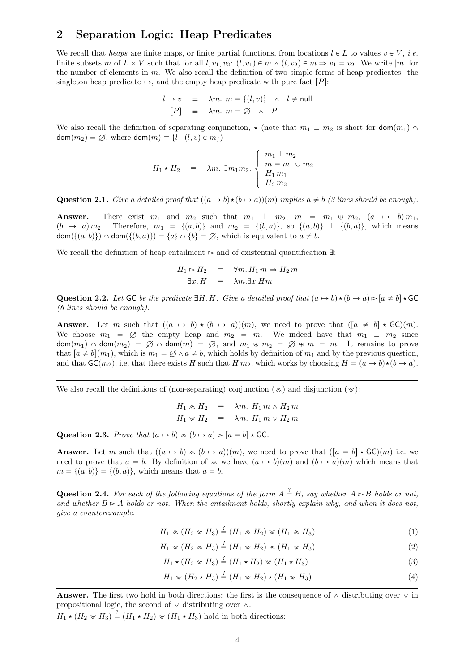### 2 Separation Logic: Heap Predicates

We recall that heaps are finite maps, or finite partial functions, from locations  $l \in L$  to values  $v \in V$ , i.e. finite subsets m of  $L \times V$  such that for all  $l, v_1, v_2$ :  $(l, v_1) \in m \wedge (l, v_2) \in m \Rightarrow v_1 = v_2$ . We write |m| for the number of elements in  $m$ . We also recall the definition of two simple forms of heap predicates: the singleton heap predicate  $\mapsto$ , and the empty heap predicate with pure fact  $[P]$ :

$$
l \mapsto v \equiv \lambda m. \ m = \{(l, v)\} \ \land \ l \neq \text{null}
$$

$$
[P] \equiv \lambda m. \ m = \emptyset \ \land \ P
$$

We also recall the definition of separating conjunction,  $\star$  (note that  $m_1 \perp m_2$  is short for  $\mathsf{dom}(m_1) \cap$  $\text{dom}(m_2) = \emptyset$ , where  $\text{dom}(m) \equiv \{l \mid (l, v) \in m\}$ 

$$
H_1 \star H_2 \equiv \lambda m. \ \exists m_1 m_2. \begin{cases} m_1 \perp m_2 \\ m = m_1 \uplus m_2 \\ H_1 m_1 \\ H_2 m_2 \end{cases}
$$

Question 2.1. Give a detailed proof that  $((a \mapsto b) \star (b \mapsto a))(m)$  implies  $a \neq b$  (3 lines should be enough).

**Answer.** There exist  $m_1$  and  $m_2$  such that  $m_1 \perp m_2$ ,  $m = m_1 \oplus m_2$ ,  $(a \mapsto b) m_1$ ,  $p(a \mapsto a) m_2$ . Therefore,  $m_1 = \{(a, b)\}\$  and  $m_2 = \{(b, a)\}\$ , so  $\{(a, b)\}\perp \{(b, a)\}\$ , which means  $dom({(a, b)} \cap dom({(b, a)}) = {a} \cap {b} = \emptyset$ , which is equivalent to  $a \neq b$ .

We recall the definition of heap entailment  $\triangleright$  and of existential quantification  $\exists$ :

$$
H_1 \rhd H_2 \equiv \forall m. H_1 m \Rightarrow H_2 m
$$
  

$$
\exists x. H \equiv \lambda m. \exists x. Hm
$$

Question 2.2. Let GC be the predicate  $\exists H. H.$  Give a detailed proof that  $(a \mapsto b) \star (b \mapsto a) \triangleright [a \neq b] \star \mathsf{GC}$ (6 lines should be enough).

Answer. Let *m* such that  $((a \mapsto b) \star (b \mapsto a))(m)$ , we need to prove that  $([a \neq b] \star \mathsf{GC})(m)$ . We choose  $m_1 = \emptyset$  the empty heap and  $m_2 = m$ . We indeed have that  $m_1 \perp m_2$  since  $dom(m_1) \cap dom(m_2) = \emptyset \cap dom(m) = \emptyset$ , and  $m_1 \oplus m_2 = \emptyset \oplus m = m$ . It remains to prove that  $[a \neq b](m_1)$ , which is  $m_1 = \emptyset \wedge a \neq b$ , which holds by definition of  $m_1$  and by the previous question, and that  $\mathsf{GC}(m_2)$ , i.e. that there exists H such that  $H m_2$ , which works by choosing  $H = (a \mapsto b) \star (b \mapsto a)$ .

We also recall the definitions of (non-separating) conjunction ( $\infty$ ) and disjunction ( $\infty$ ):

 $H_1 \wedge H_2 = \lambda m$ .  $H_1 m \wedge H_2 m$  $H_1 \text{ w } H_2 \equiv \text{ \ } \lambda m. \text{ } H_1 \text{ m } \vee \text{ } H_2 \text{ m}$ 

Question 2.3. Prove that  $(a \mapsto b) \wedge (b \mapsto a) \triangleright [a = b] \star \mathsf{GC}.$ 

**Answer.** Let m such that  $((a \rightarrow b) \land (b \rightarrow a))(m)$ , we need to prove that  $([a = b] \star \mathsf{GC})(m)$  i.e. we need to prove that  $a = b$ . By definition of  $\infty$  we have  $(a \mapsto b)(m)$  and  $(b \mapsto a)(m)$  which means that  $m = \{(a, b)\} = \{(b, a)\},$  which means that  $a = b$ .

**Question 2.4.** For each of the following equations of the form  $A \stackrel{?}{=} B$ , say whether  $A \rhd B$  holds or not, and whether  $B \triangleright A$  holds or not. When the entailment holds, shortly explain why, and when it does not, give a counterexample.

 $H_1 \wedge (H_2 \vee H_3) \stackrel{?}{=} (H_1 \wedge H_2) \vee (H_1 \wedge H_3)$  (1)

$$
H_1 \le (H_2 \otimes H_3) \stackrel{?}{=} (H_1 \otimes H_2) \otimes (H_1 \otimes H_3) \tag{2}
$$

$$
H_1 \star (H_2 \otimes H_3) \stackrel{?}{=} (H_1 \star H_2) \otimes (H_1 \star H_3)
$$
\n
$$
(3)
$$

$$
H_1 \le (H_2 \star H_3) \stackrel{?}{=} (H_1 \otimes H_2) \star (H_1 \otimes H_3) \tag{4}
$$

**Answer.** The first two hold in both directions: the first is the consequence of  $\wedge$  distributing over  $\vee$  in propositional logic, the second of  $\vee$  distributing over  $\wedge$ .

 $H_1 \star (H_2 \star H_3) \stackrel{?}{=} (H_1 \star H_2) \star (H_1 \star H_3)$  hold in both directions: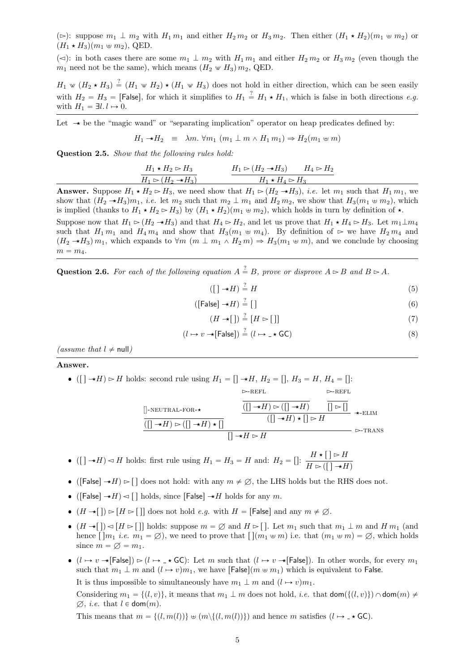( $\approx$ ): suppose  $m_1 \perp m_2$  with  $H_1 m_1$  and either  $H_2 m_2$  or  $H_3 m_2$ . Then either  $(H_1 \star H_2)(m_1 \uplus m_2)$  or  $(H_1 \star H_3)(m_1 \uplus m_2)$ , QED.

( $\leq$ ): in both cases there are some  $m_1 \perp m_2$  with  $H_1 m_1$  and either  $H_2 m_2$  or  $H_3 m_2$  (even though the  $m_1$  need not be the same), which means  $(H_2 \text{ } \text{ } \text{ } \text{ } m_2, \text{ QED}$ .

 $H_1 \otimes (H_2 \star H_3) \stackrel{?}{=} (H_1 \otimes H_2) \star (H_1 \otimes H_3)$  does not hold in either direction, which can be seen easily with  $H_2 = H_3 =$  [False], for which it simplifies to  $H_1 \stackrel{?}{=} H_1 \star H_1$ , which is false in both directions e.g. with  $H_1 = \exists l. l \mapsto 0$ .

Let  $\rightarrow$  be the "magic wand" or "separating implication" operator on heap predicates defined by:

$$
H_1 \to H_2 \equiv \lambda m. \ \forall m_1 \ (m_1 \perp m \wedge H_1 m_1) \Rightarrow H_2(m_1 \uplus m)
$$

Question 2.5. Show that the following rules hold:

$$
\frac{H_1 \star H_2 \rhd H_3}{H_1 \rhd (H_2 \to H_3)}
$$
\n
$$
\frac{H_1 \rhd (H_2 \to H_3)}{H_1 \star H_4 \rhd H_3}
$$

**Answer.** Suppose  $H_1 \star H_2 \rightharpoonup H_3$ , we need show that  $H_1 \rightharpoonup (H_2 \star H_3)$ , *i.e.* let  $m_1$  such that  $H_1 m_1$ , we show that  $(H_2 \rightarrow H_3)m_1$ , *i.e.* let  $m_2$  such that  $m_2 \perp m_1$  and  $H_2 m_2$ , we show that  $H_3(m_1 \leftrightarrow m_2)$ , which is implied (thanks to  $H_1 \star H_2 \rightharpoonup H_3$ ) by  $(H_1 \star H_2)(m_1 \uplus m_2)$ , which holds in turn by definition of  $\star$ . Suppose now that  $H_1 \rhd (H_2 \rightarrow H_3)$  and that  $H_4 \rhd H_2$ , and let us prove that  $H_1 \star H_4 \rhd H_3$ . Let  $m_1 \perp m_4$ such that  $H_1 m_1$  and  $H_4 m_4$  and show that  $H_3(m_1 \oplus m_4)$ . By definition of  $\triangleright$  we have  $H_2 m_4$  and  $(H_2 \rightarrow H_3)$   $m_1$ , which expands to  $\forall m \ (m \perp m_1 \wedge H_2 m) \Rightarrow H_3(m_1 \oplus m)$ , and we conclude by choosing

 $m = m<sub>4</sub>$ .

**Question 2.6.** For each of the following equation  $A \stackrel{?}{=} B$ , prove or disprove  $A \rhd B$  and  $B \rhd A$ .

 $([ \ ] \rightarrow H) \stackrel{?}{=} H$  $\stackrel{?}{=} H$  (5)

$$
([False] \to H) \stackrel{?}{=} [] \tag{6}
$$

$$
(H \to []) \stackrel{?}{=} [H \rhd []] \tag{7}
$$

$$
(l \mapsto v \cdot \star[\mathsf{False}]) \stackrel{?}{=} (l \mapsto \_\star \mathsf{GC}) \tag{8}
$$

(assume that  $l \neq \text{null}$ )

#### Answer.

• ([]  $\rightarrow H$ )  $\triangleright H$  holds: second rule using  $H_1 = [] \rightarrow H$ ,  $H_2 = []$ ,  $H_3 = H$ ,  $H_4 = []$ :

[]-neutral-for-‹ prs ´‹q Ź prs ´‹q ‹ rs prs ´‹q Ź prs ´‹q Ź-refl rs Ź rs prs ´‹q ‹ rs Ź ´‹-elim rs ´‹ Ź Ź-trans

 $\rightarrow$ REFL

- ([]  $\rightarrow H$ )  $\lhd$  H holds: first rule using  $H_1 = H_3 = H$  and:  $H_2 = []: \frac{H \star [ ] \rhd H}{H \star [ ] \rhd H}$  $H \triangleright ([\ ] \rightarrow H)$
- ([False]  $\rightarrow H$ )  $\triangleright$  [] does not hold: with any  $m \neq \emptyset$ , the LHS holds but the RHS does not.
- ([False]  $\rightarrow H$ )  $\lhd$  [] holds, since [False]  $\rightarrow H$  holds for any  $m$ .
- $(H \rightarrow [] \rhd [H \rhd []]$  does not hold e.g. with  $H =$  [False] and any  $m \neq \emptyset$ .
- $(H \rightarrow [] \cup [H \rightarrow []]$  holds: suppose  $m = \emptyset$  and  $H \rightarrow []$ . Let  $m_1$  such that  $m_1 \perp m$  and  $H m_1$  (and hence  $\lceil \lfloor m_1 i.e. m_1 = \emptyset \rfloor$ , we need to prove that  $\lceil \lfloor (m_1 \oplus m) i.e. \right.$  that  $(m_1 \oplus m) = \emptyset$ , which holds since  $m = \varnothing = m_1$ .
- $\bullet$   $(l \mapsto v \rightarrow [False]) \rhd (l \mapsto \rightarrow \star \mathsf{GC})$ : Let  $m$  such that  $(l \mapsto v \rightarrow [False])$ . In other words, for every  $m_1$ such that  $m_1 \perp m$  and  $(l \rightarrow v)m_1$ , we have  $\lceil \text{False} \rceil (m \not\sim m_1)$  which is equivalent to False. It is thus impossible to simultaneously have  $m_1 \perp m$  and  $(l \rightarrow v) m_1$ .

Considering  $m_1 = \{(l, v)\}\$ , it means that  $m_1 \perp m$  does not hold, *i.e.* that  $\text{dom}(\{(l, v)\}) \cap \text{dom}(m) \neq \emptyset$  $\emptyset$ , *i.e.* that  $l \in \text{dom}(m)$ .

This means that  $m = \{(l, m(l))\} \oplus (m \setminus \{(l, m(l))\})$  and hence m satisfies  $(l \mapsto \mathcal{A} \mathsf{GC})$ .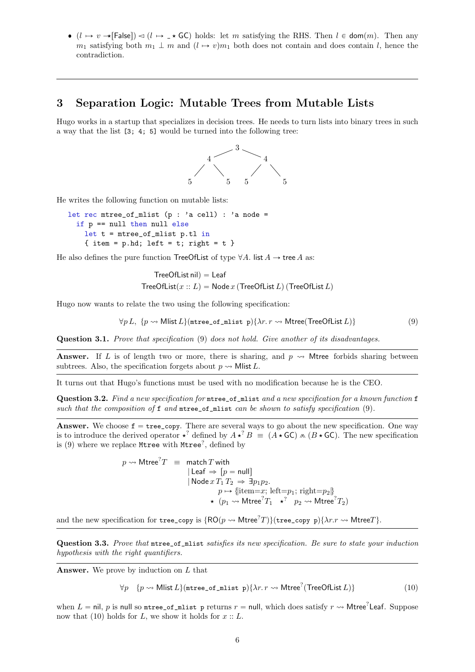$\bullet$   $(l \mapsto v \rightarrow [False]) \lhd (l \mapsto \rightarrow \ast \textsf{GC})$  holds: let *m* satisfying the RHS. Then  $l \in \textsf{dom}(m)$ . Then any  $m_1$  satisfying both  $m_1 \perp m$  and  $(l \rightarrow v) m_1$  both does not contain and does contain l, hence the contradiction.

## 3 Separation Logic: Mutable Trees from Mutable Lists

Hugo works in a startup that specializes in decision trees. He needs to turn lists into binary trees in such a way that the list [3; 4; 5] would be turned into the following tree:



He writes the following function on mutable lists:

```
let rec mtree_of_mlist (p : 'a cell) : 'a node =
  if p == null then null else
    let t = mtree_of_mlist p.tl in{ item = p.hd; left = t; right = t }
```
He also defines the pure function TreeOfList of type  $\forall A$ . list  $A \rightarrow$  tree A as:

<span id="page-5-0"></span>
$$
TreeOfList nil) = Leaf
$$
  
TreeOfList( $x :: L$ ) = Node  $x$  (TreeOfList  $L$ ) (TreeOfList  $L$ )

Hugo now wants to relate the two using the following specification:

$$
\forall p \, L, \, \{p \leadsto \text{Mlist } L\} (\text{ntree\_of\_mlist } p) \{\lambda r. \, r \leadsto \text{Mtree}(\text{TreeOfList } L) \} \tag{9}
$$

Question 3.1. Prove that specification [\(9\)](#page-5-0) does not hold. Give another of its disadvantages.

**Answer.** If L is of length two or more, there is sharing, and  $p \rightsquigarrow$  Mtree forbids sharing between subtrees. Also, the specification forgets about  $p \rightarrow M$ list L.

It turns out that Hugo's functions must be used with no modification because he is the CEO.

<span id="page-5-2"></span>Question 3.2. Find a new specification for mtree\_of\_mlist and a new specification for a known function f such that the composition of  $f$  and  $m$ tree\_of\_mlist can be shown to satisfy specification [\(9\)](#page-5-0).

Answer. We choose  $f = tree_{copy}$ . There are several ways to go about the new specification. One way is to introduce the derived operator  $\star^?$  defined by  $A \star^? B = (A \star \mathsf{GC}) \star (B \star \mathsf{GC})$ . The new specification is [\(9\)](#page-5-0) where we replace Mtree with Mtree? , defined by

> $p\rightsquigarrow \mathsf{Mtree}^? T \;\; \equiv \;\; \mathsf{match}\, T$  with  $\vert$  Leaf  $\Rightarrow$   $[p = null]$  $|$  Node  $x T_1 T_2 \Rightarrow \exists p_1 p_2$ .  $p \mapsto \{\text{item}=x; \text{ left}=p_1; \text{ right}=p_2\}$  $\star$   $(p_1 \leadsto \mathsf{Mtree}^? T_1 \quad \star^? \quad p_2 \leadsto \mathsf{Mtree}^? T_2)$

and the new specification for tree\_copy is  $\{\mathsf{RO}(p \leadsto \mathsf{Mtree}^?T)\}$ (tree\_copy p) $\{\lambda r.r \leadsto \mathsf{Mtree}T\}.$ 

Question 3.3. Prove that mtree\_of\_mlist satisfies its new specification. Be sure to state your induction hypothesis with the right quantifiers.

**Answer.** We prove by induction on  $L$  that

<span id="page-5-1"></span>
$$
\forall p \quad \{p \leadsto \text{Mlist } L\}(\text{ntree\_of\_mlist } p)\{\lambda r. r \leadsto \text{Mtree}^?(\text{TreeOfList } L)\}\tag{10}
$$

when  $L =$  nil,  $p$  is null so mtree\_of\_mlist p returns  $r =$  null, which does satisfy  $r \leadsto$  Mtree<sup>?</sup>Leaf. Suppose now that [\(10\)](#page-5-1) holds for L, we show it holds for  $x :: L$ .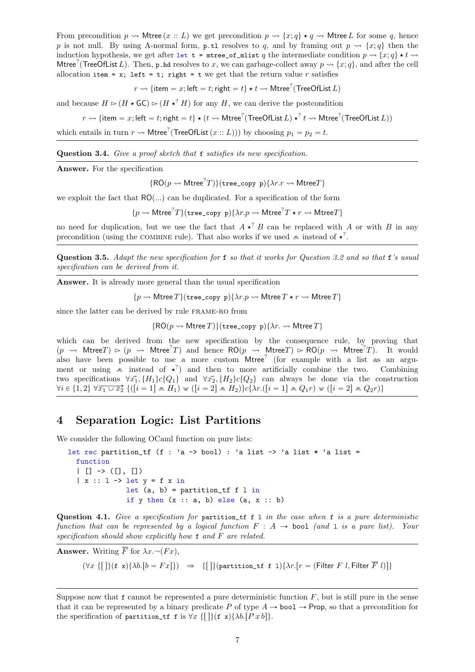From precondition  $p \rightsquigarrow$  Mtree  $(x : L)$  we get precondition  $p \rightsquigarrow \{x : q\} \star q \rightsquigarrow$  Mtree L for some q, hence p is not null. By using A-normal form, p.tl resolves to q, and by framing out  $p \rightarrow \{x; q\}$  then the induction hypothesis, we get after let  $t = m \text{tree_of_mlist } q$  the intermediate condition  $p \rightsquigarrow \{x; q\} \star t \rightsquigarrow$ Mtree<sup>?</sup> (TreeOfList L). Then, p.hd resolves to x, we can garbage-collect away  $p \leadsto \{x, q\}$ , and after the cell allocation item = x; left = t; right = t we get that the return value  $r$  satisfies

 $r\rightsquigarrow \{\mathsf{item} = x; \mathsf{left} = t; \mathsf{right} = t\} \star t \rightsquigarrow \mathsf{Mtree}^? \mathsf{(TreeOfList}\,L)$ 

and because  $H \rightharpoonup (H \star \mathsf{GC}) \rightharpoonup (H \star^? H)$  for any H, we can derive the postcondition

 $r\rightsquigarrow$  {item  $=x;$  left  $=t;$  right  $=t\} \star (t\rightsquigarrow \mathsf{Mtree}^?(\mathsf{TreeOfList}\,L)\star^?t\rightsquigarrow \mathsf{Mtree}^?(\mathsf{TreeOfList}\,L))$ 

which entails in turn  $r \leadsto$  Mtree<sup>?</sup> (TreeOfList  $(x:: L))$ ) by choosing  $p_1 = p_2 = t$ .

Question 3.4. Give a proof sketch that f satisfies its new specification.

Answer. For the specification

 $\{\mathsf{RO}(p \leadsto \mathsf{Mtree}^?T)\}$ (tree\_copy p) $\{\lambda r.r \leadsto \mathsf{Mtree}T\}$ 

we exploit the fact that  $RO(...)$  can be duplicated. For a specification of the form

 $\{p \leadsto \mathsf{Mtree}^?T\}$ (tree\_copy p) $\{\lambda r.p \leadsto \mathsf{Mtree}^?T \star r \leadsto \mathsf{Mtree}T\}$ 

no need for duplication, but we use the fact that  $A \star^? B$  can be replaced with A or with B in any precondition (using the COMBINE rule). That also works if we used  $\infty$  instead of  $\star^?$ .

Question 3.5. Adapt the new specification for f so that it works for Question [3.2](#page-5-2) and so that f's usual specification can be derived from it.

Answer. It is already more general than the usual specification

 $\{p \leadsto$  Mtree  $T\}$  (tree\_copy p) $\{\lambda r.p \leadsto$  Mtree  $T \star r \leadsto$  Mtree  $T\}$ 

since the latter can be derived by rule frame-ro from

 $\{RO(p \rightsquigarrow Mtree T)\}$ (tree\_copy p) $\{\lambda r \rightsquigarrow Mtree T\}$ 

which can be derived from the new specification by the consequence rule, by proving that  $(p \rightsquigarrow$  Mtree $T) \triangleright (p \rightsquigarrow$  Mtree<sup>?</sup> $T)$  and hence  $RO(p \rightsquigarrow$  Mtree $T) \triangleright RO(p \rightsquigarrow$  Mtree<sup>?</sup> $T)$ . It would also have been possible to use a more custom Mtree<sup>?</sup> (for example with a list as an argument or using  $\infty$  instead of  $\star$ ?) and then to more artificially combine the two. Combining two specifications  $\forall \vec{x_1}, \{H_1\} c \{Q_1\}$  and  $\forall \vec{x_2}, \{H_2\} c \{Q_2\}$  can always be done via the construction  $\forall i \in \{1, 2\} \ \forall \overline{x_1 \cup x_2} \ \{([i = 1] \land H_1) \lor ([i = 2] \land H_2)\} \subset \{\lambda r . ([i = 1] \land Q_1r) \lor ([i = 2] \land Q_2r)\}$ 

# 4 Separation Logic: List Partitions

We consider the following OCaml function on pure lists:

```
let rec partition_tf (f : 'a -> bool) : 'a list -> 'a list * 'a list =
  function
  | [ ] \rightarrow ([] , [ ] )|x :: 1 \rightarrow let y = f x inlet (a, b) = partition_tf f l in
               if y then (x :: a, b) else (a, x :: b)
```
Question 4.1. Give a specification for partition  $\text{tf } f$  in the case when  $f$  is a pure deterministic function that can be represented by a logical function  $F : A \rightarrow \text{bool}$  (and 1 is a pure list). Your specification should show explicitly how  $f$  and  $F$  are related.

**Answer.** Writing  $\overline{F}$  for  $\lambda x. \neg (Fx)$ .

 $(\forall x \{[\}](f\ x)\{\lambda b. [b = Fx]\}) \Rightarrow \{[\}](partition_t f\ f\ \lambda r. [r = (Filter F\ l, Filter \overline{F}\ l)]\})$ 

Suppose now that  $f$  cannot be represented a pure deterministic function  $F$ , but is still pure in the sense that it can be represented by a binary predicate P of type  $A \rightarrow \text{bool} \rightarrow \text{Prop}$ , so that a precondition for the specification of partition\_tf f is  $\forall x \{[\}(\mathbf{f} \mathbf{x})\{\lambda b.[P \mathbf{x} b]\}.$